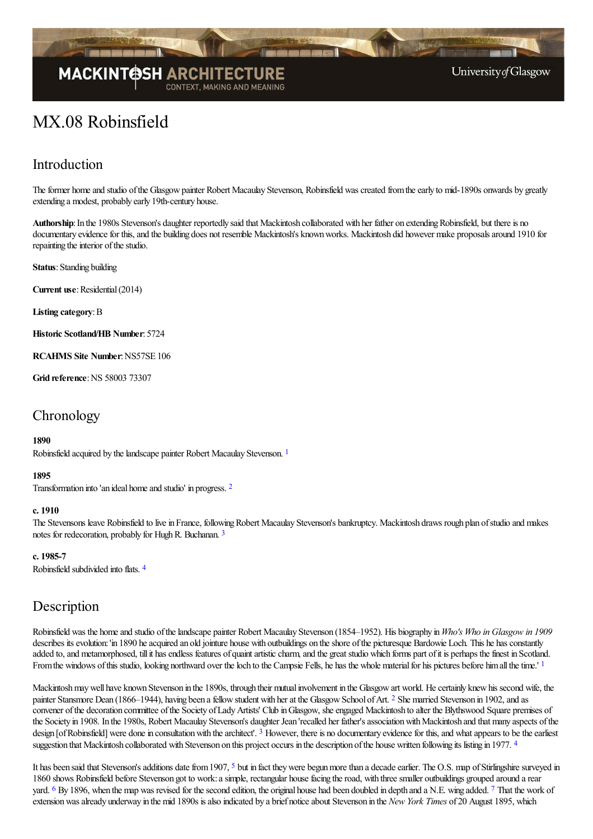

# **MACKINTOSH ARCHI**

University of Glasgow

## MX.08 Robinsfield

## Introduction

The former home and studio of the Glasgow painter Robert Macaulay Stevenson, Robinsfield was created from the early to mid-1890s onwards by greatly extending a modest, probably early 19th-century house.

Authorship: In the 1980s Stevenson's daughter reportedly said that Mackintosh collaborated with her father on extending Robinsfield, but there is no documentary evidence for this, and the building does not resemble Mackintosh's known works. Mackintosh did however make proposals around 1910 for repainting the interior of the studio.

**Status**: Standing building

**Current use:** Residential (2014)

**Listing category**:B

**Historic Scotland/HB Number**: 5724

**RCAHMS Site Number**:NS57SE 106

**Grid reference: NS 58003 73307** 

## **Chronology**

#### <span id="page-0-0"></span>**1890**

Robinsfield acquired by the landscape painter Robert Macaulay Stevenson. <sup>[1](#page-2-0)</sup>

#### <span id="page-0-1"></span>**1895**

Transformation into 'an ideal homeand studio' in progress. [2](#page-2-1)

#### **c. 1910**

<span id="page-0-2"></span>The Stevensons leave Robinsfield to live in France, following Robert Macaulay Stevenson's bankruptcy. Mackintosh draws rough plan of studio and makes notes for redecoration, probably for Hugh R. Buchanan. [3](#page-2-2)

#### **c. 1985-7**

<span id="page-0-3"></span>Robinsfield subdivided into flats. [4](#page-2-3)

## Description

Robinsfield was the homeand studio ofthelandscape painter Robert Macaulay Stevenson (1854–1952). His biography in*Who's Who in Glasgow in 1909* describes its evolution: 'in 1890 he acquired an old jointure house with outbuildings on the shore of the picturesque Bardowie Loch. This he has constantly added to, and metamorphosed, till it has endless features of quaint artistic charm, and the great studio which forms part of it is perhaps the finest in Scotland. From the windows of this studio, looking northward over the loch to the Campsie Fells, he has the whole material for his pictures before himall the time.' [1](#page-2-4)

<span id="page-0-5"></span><span id="page-0-4"></span>Mackintosh may well have known Stevenson in the 1890s, through their mutual involvement in the Glasgow art world. He certainly knew his second wife, the painter Stansmore Dean (1866–1944), having been a fellow student with her at the Glasgow School of Art. <sup>[2](#page-2-5)</sup> She married Stevenson in 1902, and as convener of the decoration committee of the Society of Lady Artists' Club in Glasgow, she engaged Mackintosh to alter the Blythswood Square premises of the Society in 1908. In the 1980s, Robert Macaulay Stevenson's daughter Jean 'recalled her father's association with Mackintosh and that many aspects of the design [of Robinsfield] were done in consultation with the architect'.  $3$  However, there is no documentary evidence for this, and what appears to be the earliest suggestion that Mackintosh collaborated with Stevenson on this project occurs in the description of the house written following its listing in 1977.<sup>[4](#page-2-7)</sup>

<span id="page-0-10"></span><span id="page-0-9"></span><span id="page-0-8"></span><span id="page-0-7"></span><span id="page-0-6"></span>It has been said that Stevenson's additions date from 1907, <sup>[5](#page-2-8)</sup> but in fact they were begun more than a decade earlier. The O.S. map of Stirlingshire surveyed in 1860 shows Robinsfield before Stevenson got to work: a simple, rectangular house facing the road, with three smaller outbuildings grouped around a rear yard. <sup>[6](#page-2-9)</sup> By 1896, when the map was revised for the second edition, the original house had been doubled in depth and a N.E. wing added. <sup>[7](#page-2-10)</sup> That the work of extensionwasalready underway in the mid 1890s isalso indicated by a brief noticeabout Stevenson in the *New York Times* of 20 August 1895, which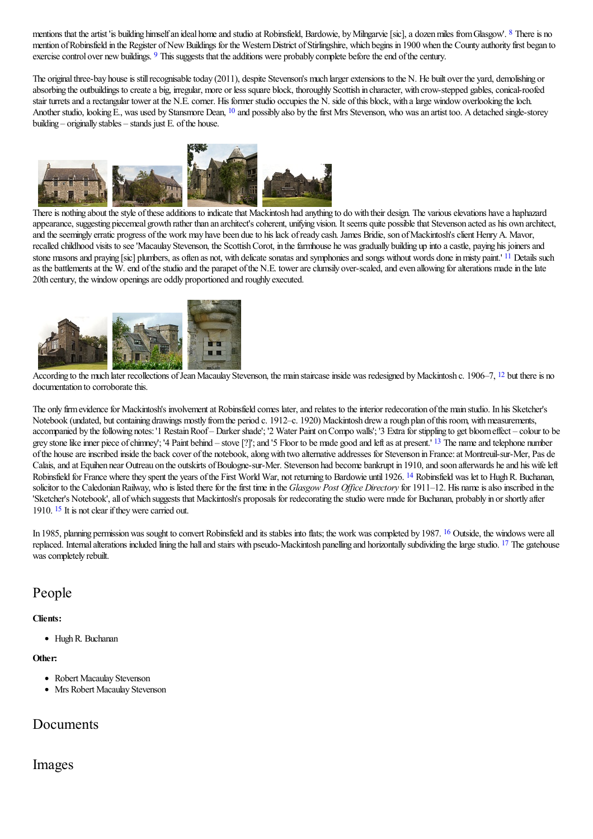<span id="page-1-1"></span><span id="page-1-0"></span>mentions that the artist 'is building himself an ideal home and studio at Robinsfield, Bardowie, by Milngarvie [sic], a dozen miles from Glasgow'. <sup>[8](#page-2-11)</sup> There is no mention of Robinsfield in the Register of New Buildings for the Western District of Stirlingshire, which begins in 1900 when the County authority first began to exercise control over new buildings. <sup>[9](#page-2-12)</sup> This suggests that the additions were probably complete before the end of the century.

The original three-bay house is still recognisable today (2011), despite Stevenson's much larger extensions to the N. He built over the yard, demolishing or absorbing the outbuildings to create a big, irregular, more or less square block, thoroughly Scottish in character, with crow-stepped gables, conical-roofed stair turrets and a rectangular tower at the N.E. corner. His former studio occupies the N. side of this block, with a large window overlooking the loch. Another studio, looking E., was used by Stansmore Dean, <sup>[10](#page-2-13)</sup> and possibly also by the first Mrs Stevenson, who was an artist too. A detached single-storey building – originally stables – stands just  $E$ . of the house.

<span id="page-1-2"></span>

<span id="page-1-3"></span>There is nothing about the style of these additions to indicate that Mackintosh had anything to do with their design. The various elevations have a haphazard appearance, suggesting piecemeal growth rather than an architect's coherent, unifying vision. It seems quite possible that Stevenson acted as his own architect, and the seemingly erratic progress of the work may have been due to his lack of ready cash. James Bridie, son of Mackintosh's client Henry A. Mavor, recalled childhood visits to see 'Macaulay Stevenson, the Scottish Corot, in the farmhouse he was gradually building up into a castle, paying his joiners and stone masons and praying [sic] plumbers, as often as not, with delicate sonatas and symphonies and songs without words done in misty paint.' <sup>[11](#page-2-14)</sup> Details such as the battlements at the W. end of the studio and the parapet of the N.E. tower are clumsily over-scaled, and even allowing for alterations made in the late 20th century, the window openings are oddly proportioned and roughly executed.



According to the much later recollections of Jean Macaulay Stevenson, the main staircase inside was redesigned by Mackintosh c. 1906–7, <sup>[12](#page-2-15)</sup> but there is no documentation to corroborate this.

<span id="page-1-5"></span><span id="page-1-4"></span>The only firm evidence for Mackintosh's involvement at Robinsfield comes later, and relates to the interior redecoration of the main studio. In his Sketcher's Notebook (undated, but containing drawings mostly from the period c. 1912–c. 1920) Mackintosh drew a rough plan of this room, with measurements, accompanied by the following notes: '1 Restain Roof – Darker shade'; '2 Water Paint on Compo walls'; '3 Extra for stippling to get bloom effect – colour to be grey stone like inner piece of chimney'; '4 Paint behind – stove [?]'; and '5 Floor to be made good and left as at present.' <sup>[13](#page-3-0)</sup> The name and telephone number of the house are inscribed inside the back cover of the notebook, along with two alternative addresses for Stevenson in France: at Montreuil-sur-Mer, Pas de Calais, and at Equihen near Outreau on the outskirts of Boulogne-sur-Mer. Stevenson had become bankrupt in 1910, and soon afterwards he and his wife left Robinsfield for France where they spent the years of the First World War, not returning to Bardowie until 1926. <sup>[14](#page-3-1)</sup> Robinsfield was let to Hugh R. Buchanan, solicitor to the Caledonian Railway, who is listed there for the first time in the *Glasgow Post Office Directory* for 1911–12. His name is also inscribed in the 'Sketcher's Notebook', all of which suggests that Mackintosh's proposals for redecorating the studio were made for Buchanan, probably in or shortly after 1910. <sup>[15](#page-3-2)</sup> It is not clear if they were carried out.

<span id="page-1-8"></span><span id="page-1-7"></span><span id="page-1-6"></span>In 1985, planning permission was sought to convert Robinsfield and its stables into flats; the work was completed by 1987. <sup>[16](#page-3-3)</sup> Outside, the windows were all replaced. Internal alterations included lining the hall and stairs with pseudo-Mackintosh panelling and horizontally subdividing the large studio. <sup>[17](#page-3-4)</sup> The gatehouse was completely rebuilt.

## People

**Clients:**

<span id="page-1-9"></span>HughR. Buchanan

#### **Other:**

- Robert Macaulay Stevenson
- Mrs Robert Macaulay Stevenson

## Documents

### Images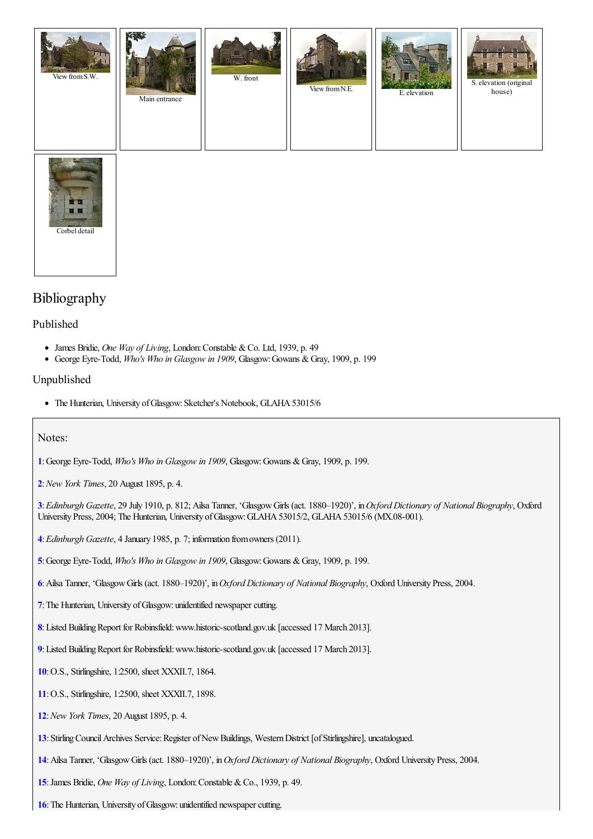



## Bibliography

#### Published

- James Bridie, *One Way of Living*, London:Constable &Co. Ltd, 1939, p. 49
- George Eyre-Todd, *Who's Who in Glasgow in 1909*, Glasgow:Gowans &Gray, 1909, p. 199

#### Unpublished

• The Hunterian, University of Glasgow: Sketcher's Notebook, GLAHA 53015/6

#### Notes:

- <span id="page-2-0"></span>**[1](#page-0-0)**:George Eyre-Todd, *Who's Who in Glasgow in 1909*, Glasgow:Gowans &Gray, 1909, p. 199.
- <span id="page-2-1"></span>**[2](#page-0-1)**:*New York Times*, 20 August 1895, p. 4.

<span id="page-2-2"></span>**[3](#page-0-2)**:*Edinburgh Gazette*, 29 July 1910, p. 812; Ailsa Tanner, 'GlasgowGirls (act. 1880–1920)', in*Oxford Dictionary of National Biography*, Oxford University Press, 2004; The Hunterian, University of Glasgow: GLAHA 53015/2, GLAHA 53015/6 (MX.08-001).

- <span id="page-2-3"></span>**[4](#page-0-3)**:*Edinburgh Gazette*, 4 January 1985, p. 7; information fromowners (2011).
- <span id="page-2-4"></span>**[5](#page-0-4)**:George Eyre-Todd, *Who's Who in Glasgow in 1909*, Glasgow:Gowans &Gray, 1909, p. 199.
- <span id="page-2-5"></span>**[6](#page-0-5)**:Ailsa Tanner, 'GlasgowGirls (act. 1880–1920)', in*Oxford Dictionary of National Biography*, Oxford University Press, 2004.
- <span id="page-2-6"></span>**[7](#page-0-6)**: The Hunterian, University of Glasgow: unidentified newspaper cutting.
- <span id="page-2-7"></span>[8](#page-0-7): Listed Building Report for Robinsfield: www.historic-scotland.gov.uk [accessed 17 March 2013].
- <span id="page-2-8"></span>[9](#page-0-8): Listed Building Report for Robinsfield: www.historic-scotland.gov.uk [accessed 17 March 2013].
- <span id="page-2-9"></span>**[10](#page-0-9)**:O.S., Stirlingshire, 1:2500, sheet XXXII.7, 1864.
- <span id="page-2-10"></span>**[11](#page-0-10)**:O.S., Stirlingshire, 1:2500, sheet XXXII.7, 1898.
- <span id="page-2-11"></span>**[12](#page-1-0)**:*New York Times*, 20 August 1895, p. 4.
- <span id="page-2-12"></span>[13](#page-1-1): Stirling Council Archives Service: Register of New Buildings, Western District [of Stirlingshire], uncatalogued.
- <span id="page-2-13"></span>**[14](#page-1-2)**:Ailsa Tanner, 'GlasgowGirls (act. 1880–1920)', in*Oxford Dictionary of National Biography*, Oxford University Press, 2004.
- <span id="page-2-14"></span>**[15](#page-1-3)**:James Bridie, *One Way of Living*, London:Constable &Co., 1939, p. 49.
- <span id="page-2-15"></span>**[16](#page-1-4)**: The Hunterian, University of Glasgow: unidentified newspaper cutting.